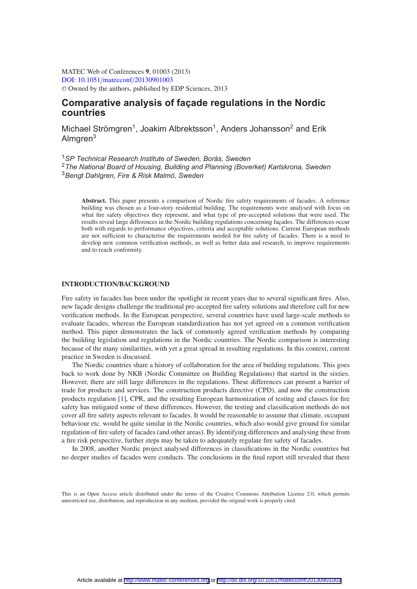MATEC Web of Conferences **9**, 01003 (2013) [DOI: 10.1051](http://dx.doi.org/10.1051/matecconf/20130901003)/matecconf/20130901003 <sup>C</sup> Owned by the authors, published by EDP Sciences, 2013

# **Comparative analysis of façade regulations in the Nordic countries**

Michael Strömgren<sup>1</sup>, Joakim Albrektsson<sup>1</sup>, Anders Johansson<sup>2</sup> and Erik Almaren<sup>3</sup>

<sup>1</sup>*SP Technical Research Institute of Sweden, Borås, Sweden* <sup>2</sup>*The National Board of Housing, Building and Planning (Boverket) Karlskrona, Sweden* <sup>3</sup>*Bengt Dahlgren, Fire & Risk Malmö, Sweden*

**Abstract.** This paper presents a comparison of Nordic fire safety requirements of facades. A reference building was chosen as a four-story residential building. The requirements were analysed with focus on what fire safety objectives they represent, and what type of pre-accepted solutions that were used. The results reveal large differences in the Nordic building regulations concerning façades. The differences occur both with regards to performance objectives, criteria and acceptable solutions. Current European methods are not sufficient to characterise the requirements needed for fire safety of facades. There is a need to develop new common verification methods, as well as better data and research, to improve requirements and to reach conformity.

#### **INTRODUCTION/BACKGROUND**

Fire safety in facades has been under the spotlight in recent years due to several significant fires. Also, new façade designs challenge the traditional pre-accepted fire safety solutions and therefore call for new verification methods. In the European perspective, several countries have used large-scale methods to evaluate facades, whereas the European standardization has not yet agreed on a common verification method. This paper demonstrates the lack of commonly agreed verification methods by comparing the building legislation and regulations in the Nordic countries. The Nordic comparison is interesting because of the many similarities, with yet a great spread in resulting regulations. In this context, current practice in Sweden is discussed.

The Nordic countries share a history of collaboration for the area of building regulations. This goes back to work done by NKB (Nordic Committee on Building Regulations) that started in the sixties. However, there are still large differences in the regulations. These differences can present a barrier of trade for products and services. The construction products directive (CPD), and now the construction products regulation [\[1\]](#page-7-0), CPR, and the resulting European harmonization of testing and classes for fire safety has mitigated some of these differences. However, the testing and classification methods do not cover all fire safety aspects relevant to facades. It would be reasonable to assume that climate, occupant behaviour etc. would be quite similar in the Nordic countries, which also would give ground for similar regulation of fire safety of facades (and other areas). By identifying differences and analysing these from a fire risk perspective, further steps may be taken to adequately regulate fire safety of facades.

In 2008, another Nordic project analysed differences in classifications in the Nordic countries but no deeper studies of facades were conducts. The conclusions in the final report still revealed that there

This is an Open Access article distributed under the terms of the Creative Commons Attribution License 2.0, which permits unrestricted use, distribution, and reproduction in any medium, provided the original work is properly cited.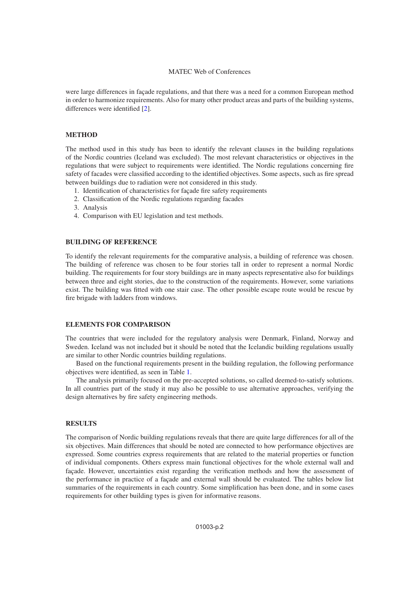were large differences in façade regulations, and that there was a need for a common European method in order to harmonize requirements. Also for many other product areas and parts of the building systems, differences were identified [\[2](#page-7-1)].

#### **METHOD**

The method used in this study has been to identify the relevant clauses in the building regulations of the Nordic countries (Iceland was excluded). The most relevant characteristics or objectives in the regulations that were subject to requirements were identified. The Nordic regulations concerning fire safety of facades were classified according to the identified objectives. Some aspects, such as fire spread between buildings due to radiation were not considered in this study.

- 1. Identification of characteristics for façade fire safety requirements
- 2. Classification of the Nordic regulations regarding facades
- 3. Analysis
- 4. Comparison with EU legislation and test methods.

## **BUILDING OF REFERENCE**

To identify the relevant requirements for the comparative analysis, a building of reference was chosen. The building of reference was chosen to be four stories tall in order to represent a normal Nordic building. The requirements for four story buildings are in many aspects representative also for buildings between three and eight stories, due to the construction of the requirements. However, some variations exist. The building was fitted with one stair case. The other possible escape route would be rescue by fire brigade with ladders from windows.

# **ELEMENTS FOR COMPARISON**

The countries that were included for the regulatory analysis were Denmark, Finland, Norway and Sweden. Iceland was not included but it should be noted that the Icelandic building regulations usually are similar to other Nordic countries building regulations.

Based on the functional requirements present in the building regulation, the following performance objectives were identified, as seen in Table [1.](#page-2-0)

The analysis primarily focused on the pre-accepted solutions, so called deemed-to-satisfy solutions. In all countries part of the study it may also be possible to use alternative approaches, verifying the design alternatives by fire safety engineering methods.

### **RESULTS**

The comparison of Nordic building regulations reveals that there are quite large differences for all of the six objectives. Main differences that should be noted are connected to how performance objectives are expressed. Some countries express requirements that are related to the material properties or function of individual components. Others express main functional objectives for the whole external wall and façade. However, uncertainties exist regarding the verification methods and how the assessment of the performance in practice of a façade and external wall should be evaluated. The tables below list summaries of the requirements in each country. Some simplification has been done, and in some cases requirements for other building types is given for informative reasons.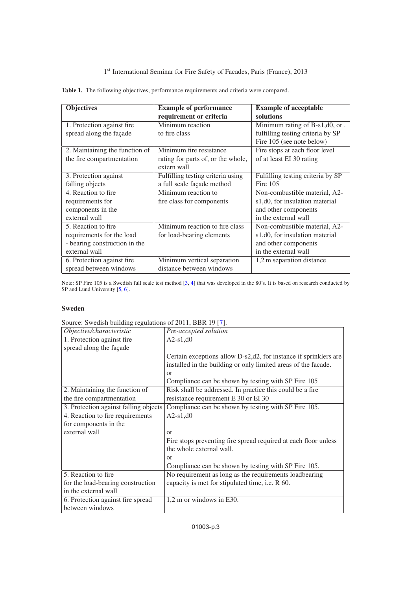# 1st International Seminar for Fire Safety of Facades, Paris (France), 2013

<span id="page-2-0"></span>

|  |  |  | Table 1. The following objectives, performance requirements and criteria were compared. |
|--|--|--|-----------------------------------------------------------------------------------------|
|--|--|--|-----------------------------------------------------------------------------------------|

| <b>Objectives</b>              | <b>Example of performance</b>                                  | <b>Example of acceptable</b>      |
|--------------------------------|----------------------------------------------------------------|-----------------------------------|
|                                | requirement or criteria                                        | solutions                         |
| 1. Protection against fire     | Minimum reaction                                               | Minimum rating of B-s1,d0, or.    |
| spread along the façade        | to fire class                                                  | fulfilling testing criteria by SP |
|                                |                                                                | Fire 105 (see note below)         |
| 2. Maintaining the function of | Minimum fire resistance                                        | Fire stops at each floor level    |
| the fire compartmentation      | of at least EI 30 rating<br>rating for parts of, or the whole, |                                   |
|                                | extern wall                                                    |                                   |
| 3. Protection against          | Fulfilling testing criteria using                              | Fulfilling testing criteria by SP |
| falling objects                | a full scale façade method                                     | Fire $105$                        |
| 4. Reaction to fire.           | Minimum reaction to                                            | Non-combustible material, A2-     |
| requirements for               | fire class for components                                      | s1,d0, for insulation material    |
| components in the              |                                                                | and other components              |
| external wall                  |                                                                | in the external wall              |
| 5. Reaction to fire.           | Minimum reaction to fire class                                 | Non-combustible material, A2-     |
| requirements for the load      | for load-bearing elements                                      | s1,d0, for insulation material    |
| - bearing construction in the  |                                                                | and other components              |
| external wall                  |                                                                | in the external wall              |
| 6. Protection against fire     | Minimum vertical separation                                    | 1,2 m separation distance         |
| spread between windows         | distance between windows                                       |                                   |

Note: SP Fire 105 is a Swedish full scale test method [\[3](#page-7-2), [4](#page-7-3)] that was developed in the 80's. It is based on research conducted by SP and Lund University [\[5](#page-7-4), [6](#page-7-5)].

# **Sweden**

| Objective/characteristic              | Pre-accepted solution                                            |
|---------------------------------------|------------------------------------------------------------------|
| 1. Protection against fire            | $A2-s1,d0$                                                       |
| spread along the façade               |                                                                  |
|                                       | Certain exceptions allow D-s2,d2, for instance if sprinklers are |
|                                       | installed in the building or only limited areas of the facade.   |
|                                       | or                                                               |
|                                       | Compliance can be shown by testing with SP Fire 105              |
| 2. Maintaining the function of        | Risk shall be addressed. In practice this could be a fire        |
| the fire compartmentation             | resistance requirement E 30 or EI 30                             |
| 3. Protection against falling objects | Compliance can be shown by testing with SP Fire 105.             |
| 4. Reaction to fire requirements      | $A2-s1, d0$                                                      |
| for components in the                 |                                                                  |
| external wall                         | or                                                               |
|                                       | Fire stops preventing fire spread required at each floor unless  |
|                                       | the whole external wall.                                         |
|                                       | or                                                               |
|                                       | Compliance can be shown by testing with SP Fire 105.             |
| 5. Reaction to fire                   | No requirement as long as the requirements loadbearing           |
| for the load-bearing construction     | capacity is met for stipulated time, i.e. R 60.                  |
| in the external wall                  |                                                                  |
| 6. Protection against fire spread     | 1,2 m or windows in E30.                                         |
| between windows                       |                                                                  |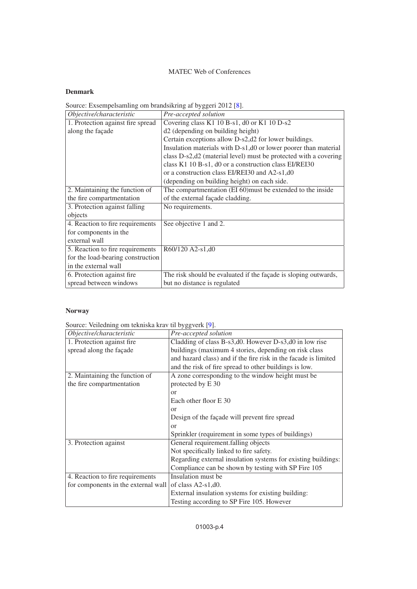# **Denmark**

Source: Exsempelsamling om brandsikring af byggeri 2012 [\[8\]](#page-7-7).

| Objective/characteristic          | Pre-accepted solution                                            |  |
|-----------------------------------|------------------------------------------------------------------|--|
| 1. Protection against fire spread | Covering class K1 10 B-s1, d0 or K1 10 D-s2                      |  |
| along the façade                  | d2 (depending on building height)                                |  |
|                                   | Certain exceptions allow D-s2, d2 for lower buildings.           |  |
|                                   | Insulation materials with D-s1,d0 or lower poorer than material  |  |
|                                   | class D-s2,d2 (material level) must be protected with a covering |  |
|                                   | class K1 10 B-s1, d0 or a construction class EI/REI30            |  |
|                                   | or a construction class EI/REI30 and A2-s1,d0                    |  |
|                                   | (depending on building height) on each side.                     |  |
| 2. Maintaining the function of    | The compartmentation (EI 60) must be extended to the inside      |  |
| the fire compartmentation         | of the external façade cladding.                                 |  |
| 3. Protection against falling     | No requirements.                                                 |  |
| objects                           |                                                                  |  |
| 4. Reaction to fire requirements  | See objective 1 and 2.                                           |  |
| for components in the             |                                                                  |  |
| external wall                     |                                                                  |  |
| 5. Reaction to fire requirements  | R60/120 A2-s1,d0                                                 |  |
| for the load-bearing construction |                                                                  |  |
| in the external wall              |                                                                  |  |
| 6. Protection against fire        | The risk should be evaluated if the façade is sloping outwards,  |  |
| spread between windows            | but no distance is regulated                                     |  |

# **Norway**

Source: Veiledning om tekniska krav til byggverk [\[9](#page-7-8)].

| Objective/characteristic            | Pre-accepted solution                                           |  |
|-------------------------------------|-----------------------------------------------------------------|--|
| 1. Protection against fire          | Cladding of class B-s3,d0. However D-s3,d0 in low rise          |  |
| spread along the façade             | buildings (maximum 4 stories, depending on risk class           |  |
|                                     | and hazard class) and if the fire risk in the facade is limited |  |
|                                     | and the risk of fire spread to other buildings is low.          |  |
| 2. Maintaining the function of      | A zone corresponding to the window height must be               |  |
| the fire compartmentation           | protected by E 30                                               |  |
|                                     | $\alpha$                                                        |  |
|                                     | Each other floor E 30                                           |  |
|                                     | $\alpha$                                                        |  |
|                                     | Design of the façade will prevent fire spread                   |  |
|                                     | $\alpha$                                                        |  |
|                                     | Sprinkler (requirement in some types of buildings)              |  |
| 3. Protection against               | General requirement.falling objects                             |  |
|                                     | Not specifically linked to fire safety.                         |  |
|                                     | Regarding external insulation systems for existing buildings:   |  |
|                                     | Compliance can be shown by testing with SP Fire 105             |  |
| 4. Reaction to fire requirements    | Insulation must be                                              |  |
| for components in the external wall | of class $A2-s1, d0$ .                                          |  |
|                                     | External insulation systems for existing building:              |  |
|                                     | Testing according to SP Fire 105. However                       |  |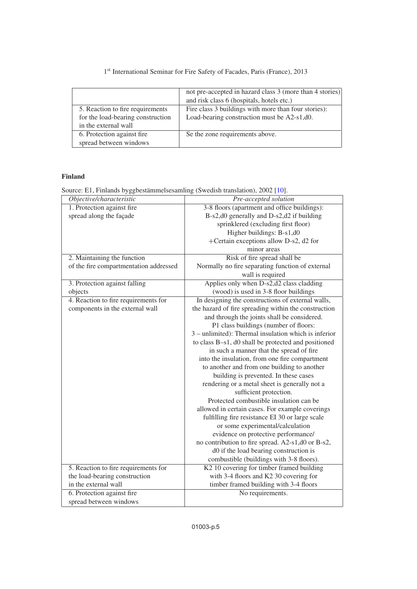# not pre-accepted in hazard class 3 (more than 4 stories) and risk class 6 (hospitals, hotels etc.) 5. Reaction to fire requirements Fire class 3 buildings with more than four stories): for the load-bearing construction Load-bearing construction must be A2-s1,d0. in the external wall<br>6. Protection against fire Se the zone requirements above. spread between windows

# 1st International Seminar for Fire Safety of Facades, Paris (France), 2013

# **Finland**

Source: E1, Finlands byggbestämmelsesamling (Swedish translation), 2002 [\[10\]](#page-7-9).

| Objective/characteristic               | Pre-accepted solution                                |  |
|----------------------------------------|------------------------------------------------------|--|
| 1. Protection against fire             | 3-8 floors (apartment and office buildings):         |  |
| spread along the façade                | B-s2,d0 generally and D-s2,d2 if building            |  |
|                                        | sprinklered (excluding first floor)                  |  |
|                                        | Higher buildings: B-s1,d0                            |  |
|                                        | +Certain exceptions allow D-s2, d2 for               |  |
|                                        | minor areas                                          |  |
| 2. Maintaining the function            | Risk of fire spread shall be                         |  |
| of the fire compartmentation addressed | Normally no fire separating function of external     |  |
|                                        | wall is required                                     |  |
| 3. Protection against falling          | Applies only when D-s2,d2 class cladding             |  |
| objects                                | (wood) is used in 3-8 floor buildings                |  |
| 4. Reaction to fire requirements for   | In designing the constructions of external walls,    |  |
| components in the external wall        | the hazard of fire spreading within the construction |  |
|                                        | and through the joints shall be considered.          |  |
|                                        | P1 class buildings (number of floors:                |  |
|                                        | 3 – unlimited): Thermal insulation which is inferior |  |
|                                        | to class B-s1, d0 shall be protected and positioned  |  |
|                                        | in such a manner that the spread of fire             |  |
|                                        | into the insulation, from one fire compartment       |  |
|                                        | to another and from one building to another          |  |
|                                        | building is prevented. In these cases                |  |
|                                        | rendering or a metal sheet is generally not a        |  |
|                                        | sufficient protection.                               |  |
|                                        | Protected combustible insulation can be              |  |
|                                        | allowed in certain cases. For example coverings      |  |
|                                        | fulfilling fire resistance EI 30 or large scale      |  |
|                                        | or some experimental/calculation                     |  |
|                                        | evidence on protective performance/                  |  |
|                                        | no contribution to fire spread. A2-s1,d0 or B-s2,    |  |
|                                        | d0 if the load bearing construction is               |  |
|                                        | combustible (buildings with 3-8 floors).             |  |
| 5. Reaction to fire requirements for   | K2 10 covering for timber framed building            |  |
| the load-bearing construction          | with 3-4 floors and K2 30 covering for               |  |
| in the external wall                   | timber framed building with 3-4 floors               |  |
| 6. Protection against fire             | No requirements.                                     |  |
| spread between windows                 |                                                      |  |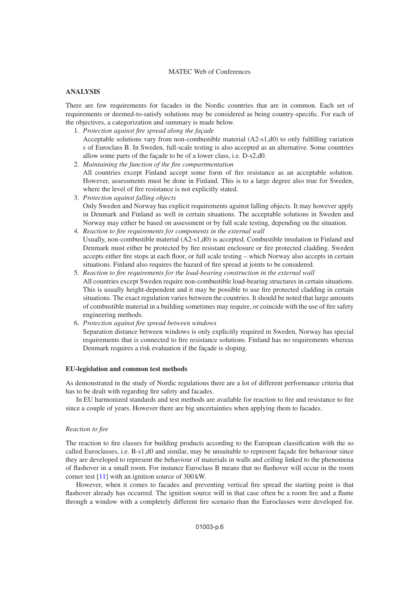# **ANALYSIS**

There are few requirements for facades in the Nordic countries that are in common. Each set of requirements or deemed-to-satisfy solutions may be considered as being country-specific. For each of the objectives, a categorization and summary is made below.

- 1. *Protection against fire spread along the façade* Acceptable solutions vary from non-combustible material  $(A2-s1,d0)$  to only fulfilling variation s of Euroclass B. In Sweden, full-scale testing is also accepted as an alternative. Some countries allow some parts of the façade to be of a lower class, i.e. D-s2,d0.
- 2. *Maintaining the function of the fire compartmentation* All countries except Finland accept some form of fire resistance as an acceptable solution. However, assessments must be done in Finland. This is to a large degree also true for Sweden, where the level of fire resistance is not explicitly stated.
- 3. *Protection against falling objects* Only Sweden and Norway has explicit requirements against falling objects. It may however apply in Denmark and Finland as well in certain situations. The acceptable solutions in Sweden and Norway may either be based on assessment or by full scale testing, depending on the situation.
- 4. *Reaction to fire requirements for components in the external wall* Usually, non-combustible material (A2-s1,d0) is accepted. Combustible insulation in Finland and Denmark must either be protected by fire resistant enclosure or fire protected cladding. Sweden accepts either fire stops at each floor, or full scale testing – which Norway also accepts in certain situations. Finland also requires the hazard of fire spread at joints to be considered.
- 5. *Reaction to fire requirements for the load-bearing construction in the external wall* All countries except Sweden require non-combustible load-bearing structures in certain situations. This is usually height-dependent and it may be possible to use fire protected cladding in certain situations. The exact regulation varies between the countries. It should be noted that large amounts of combustible material in a building sometimes may require, or coincide with the use of fire safety engineering methods.
- 6. *Protection against fire spread between windows*

Separation distance between windows is only explicitly required in Sweden, Norway has special requirements that is connected to fire resistance solutions. Finland has no requirements whereas Denmark requires a risk evaluation if the façade is sloping.

### **EU-legislation and common test methods**

As demonstrated in the study of Nordic regulations there are a lot of different performance criteria that has to be dealt with regarding fire safety and facades.

In EU harmonized standards and test methods are available for reaction to fire and resistance to fire since a couple of years. However there are big uncertainties when applying them to facades.

#### *Reaction to fire*

The reaction to fire classes for building products according to the European classification with the so called Euroclasses, i.e. B-s1,d0 and similar, may be unsuitable to represent façade fire behaviour since they are developed to represent the behaviour of materials in walls and ceiling linked to the phenomena of flashover in a small room. For instance Euroclass B means that no flashover will occur in the room corner test [\[11](#page-8-0)] with an ignition source of 300 kW.

However, when it comes to facades and preventing vertical fire spread the starting point is that flashover already has occurred. The ignition source will in that case often be a room fire and a flame through a window with a completely different fire scenario than the Euroclasses were developed for.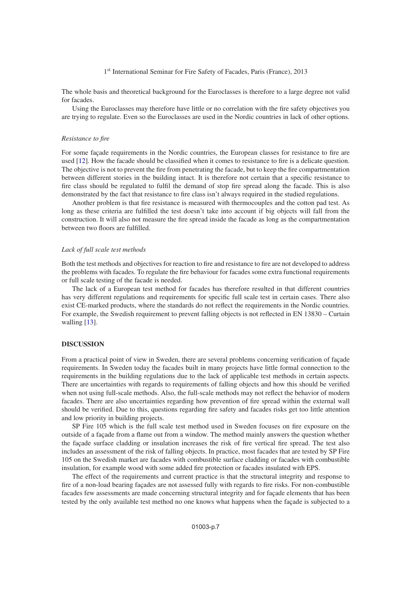### 1<sup>st</sup> International Seminar for Fire Safety of Facades, Paris (France), 2013

The whole basis and theoretical background for the Euroclasses is therefore to a large degree not valid for facades.

Using the Euroclasses may therefore have little or no correlation with the fire safety objectives you are trying to regulate. Even so the Euroclasses are used in the Nordic countries in lack of other options.

#### *Resistance to fire*

For some façade requirements in the Nordic countries, the European classes for resistance to fire are used [\[12\]](#page-8-1). How the facade should be classified when it comes to resistance to fire is a delicate question. The objective is not to prevent the fire from penetrating the facade, but to keep the fire compartmentation between different stories in the building intact. It is therefore not certain that a specific resistance to fire class should be regulated to fulfil the demand of stop fire spread along the facade. This is also demonstrated by the fact that resistance to fire class isn't always required in the studied regulations.

Another problem is that fire resistance is measured with thermocouples and the cotton pad test. As long as these criteria are fulfilled the test doesn't take into account if big objects will fall from the construction. It will also not measure the fire spread inside the facade as long as the compartmentation between two floors are fulfilled.

## *Lack of full scale test methods*

Both the test methods and objectives for reaction to fire and resistance to fire are not developed to address the problems with facades. To regulate the fire behaviour for facades some extra functional requirements or full scale testing of the facade is needed.

The lack of a European test method for facades has therefore resulted in that different countries has very different regulations and requirements for specific full scale test in certain cases. There also exist CE-marked products, where the standards do not reflect the requirements in the Nordic countries. For example, the Swedish requirement to prevent falling objects is not reflected in EN 13830 – Curtain walling [\[13\]](#page-8-2).

## **DISCUSSION**

From a practical point of view in Sweden, there are several problems concerning verification of façade requirements. In Sweden today the facades built in many projects have little formal connection to the requirements in the building regulations due to the lack of applicable test methods in certain aspects. There are uncertainties with regards to requirements of falling objects and how this should be verified when not using full-scale methods. Also, the full-scale methods may not reflect the behavior of modern facades. There are also uncertainties regarding how prevention of fire spread within the external wall should be verified. Due to this, questions regarding fire safety and facades risks get too little attention and low priority in building projects.

SP Fire 105 which is the full scale test method used in Sweden focuses on fire exposure on the outside of a façade from a flame out from a window. The method mainly answers the question whether the façade surface cladding or insulation increases the risk of fire vertical fire spread. The test also includes an assessment of the risk of falling objects. In practice, most facades that are tested by SP Fire 105 on the Swedish market are facades with combustible surface cladding or facades with combustible insulation, for example wood with some added fire protection or facades insulated with EPS.

The effect of the requirements and current practice is that the structural integrity and response to fire of a non-load bearing façades are not assessed fully with regards to fire risks. For non-combustible facades few assessments are made concerning structural integrity and for façade elements that has been tested by the only available test method no one knows what happens when the façade is subjected to a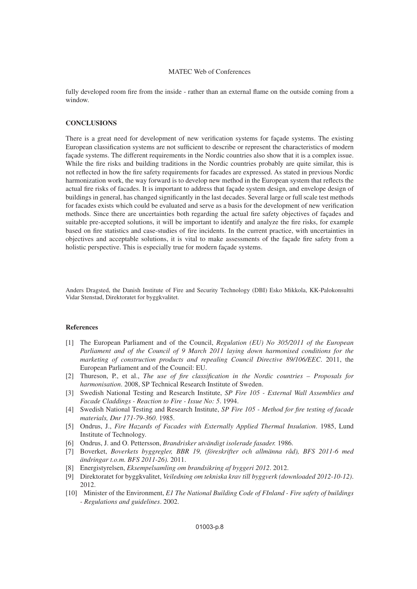fully developed room fire from the inside - rather than an external flame on the outside coming from a window.

#### **CONCLUSIONS**

There is a great need for development of new verification systems for façade systems. The existing European classification systems are not sufficient to describe or represent the characteristics of modern façade systems. The different requirements in the Nordic countries also show that it is a complex issue. While the fire risks and building traditions in the Nordic countries probably are quite similar, this is not reflected in how the fire safety requirements for facades are expressed. As stated in previous Nordic harmonization work, the way forward is to develop new method in the European system that reflects the actual fire risks of facades. It is important to address that façade system design, and envelope design of buildings in general, has changed significantly in the last decades. Several large or full scale test methods for facades exists which could be evaluated and serve as a basis for the development of new verification methods. Since there are uncertainties both regarding the actual fire safety objectives of façades and suitable pre-accepted solutions, it will be important to identify and analyze the fire risks, for example based on fire statistics and case-studies of fire incidents. In the current practice, with uncertainties in objectives and acceptable solutions, it is vital to make assessments of the façade fire safety from a holistic perspective. This is especially true for modern façade systems.

Anders Dragsted, the Danish Institute of Fire and Security Technology (DBI) Esko Mikkola, KK-Palokonsultti Vidar Stenstad, Direktoratet for byggkvalitet.

### **References**

- <span id="page-7-0"></span>[1] The European Parliament and of the Council, *Regulation (EU) No 305/2011 of the European Parliament and of the Council of 9 March 2011 laying down harmonised conditions for the marketing of construction products and repealing Council Directive 89/106/EEC*. 2011, the European Parliament and of the Council: EU.
- <span id="page-7-1"></span>[2] Thureson, P., et al., *The use of fire classification in the Nordic countries – Proposals for harmonisation*. 2008, SP Technical Research Institute of Sweden.
- <span id="page-7-2"></span>[3] Swedish National Testing and Research Institute, *SP Fire 105 - External Wall Assemblies and Facade Claddings - Reaction to Fire - Issue No: 5*. 1994.
- <span id="page-7-3"></span>[4] Swedish National Testing and Research Institute, *SP Fire 105 - Method for fire testing of facade materials, Dnr 171-79-360*. 1985.
- <span id="page-7-4"></span>[5] Ondrus, J., *Fire Hazards of Facades with Externally Applied Thermal Insulation*. 1985, Lund Institute of Technology.
- <span id="page-7-5"></span>[6] Ondrus, J. and O. Pettersson, *Brandrisker utvändigt isolerade fasader.* 1986.
- <span id="page-7-6"></span>[7] Boverket, *Boverkets byggregler, BBR 19, (föreskrifter och allmänna råd), BFS 2011-6 med ändringar t.o.m. BFS 2011-26).* 2011.
- <span id="page-7-7"></span>[8] Energistyrelsen, *Eksempelsamling om brandsikring af byggeri 2012*. 2012.
- <span id="page-7-8"></span>[9] Direktoratet for byggkvalitet, *Veiledning om tekniska krav till byggverk (downloaded 2012-10-12)*. 2012.
- <span id="page-7-9"></span>[10] Minister of the Environment, *E1 The National Building Code of FInland - Fire safety of buildings - Regulations and guidelines*. 2002.